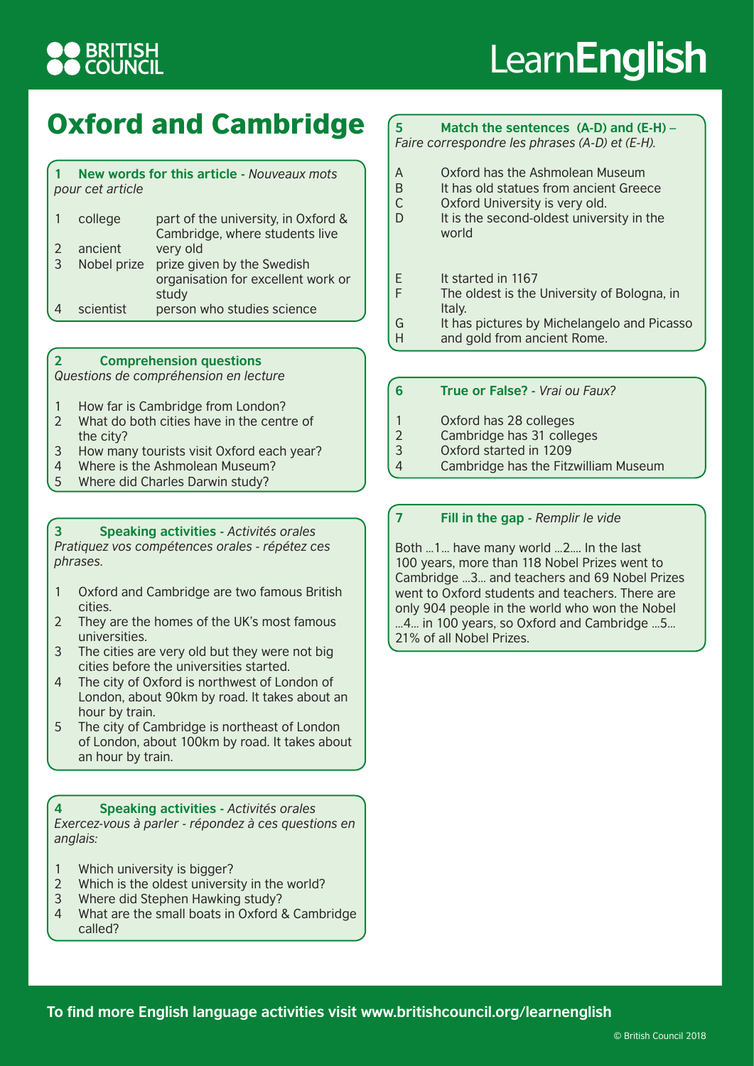## **BRITISH<br>COUNCIL**

# Learn**English**

### Oxford and Cambridge

#### **1 New words for this article -** *Nouveaux mots pour cet article* 1 college part of the university, in Oxford & Cambridge, where students live 2 ancient very old

|          |           | Nobel prize prize given by the Swedish |
|----------|-----------|----------------------------------------|
|          |           | organisation for excellent work or     |
|          |           | study                                  |
| $\Delta$ | scientist | person who studies science             |

#### **2 Comprehension questions**

*Questions de compréhension en lecture*

- 1 How far is Cambridge from London?
- 2 What do both cities have in the centre of the city?
- 3 How many tourists visit Oxford each year?
- 4 Where is the Ashmolean Museum?
- 5 Where did Charles Darwin study?

#### **3 Speaking activities -** *Activités orales*

*Pratiquez vos compétences orales - répétez ces phrases.*

- 1 Oxford and Cambridge are two famous British cities.
- 2 They are the homes of the UK's most famous universities.
- 3 The cities are very old but they were not big cities before the universities started.
- 4 The city of Oxford is northwest of London of London, about 90km by road. It takes about an hour by train.
- 5 The city of Cambridge is northeast of London of London, about 100km by road. It takes about an hour by train.

**4 Speaking activities -** *Activités orales Exercez-vous à parler - répondez à ces questions en anglais:*

- 1 Which university is bigger?
- 2 Which is the oldest university in the world?
- 3 Where did Stephen Hawking study?
- 4 What are the small boats in Oxford & Cambridge called?

#### **5 Match the sentences (A-D) and (E-H) –** *Faire correspondre les phrases (A-D) et (E-H).*

- A Oxford has the Ashmolean Museum<br>B It has old statues from ancient Gree
- It has old statues from ancient Greece
- C Oxford University is very old.
- D It is the second-oldest university in the world
- E It started in 1167
- F The oldest is the University of Bologna, in Italy.
- G It has pictures by Michelangelo and Picasso
- H and gold from ancient Rome.

#### **6 True or False? -** *Vrai ou Faux?*

- 1 Oxford has 28 colleges
- 2 Cambridge has 31 colleges<br>3 Oxford started in 1209
- Oxford started in 1209
- 4 Cambridge has the Fitzwilliam Museum

#### **7 Fill in the gap -** *Remplir le vide*

Both …1… have many world …2…. In the last 100 years, more than 118 Nobel Prizes went to Cambridge …3… and teachers and 69 Nobel Prizes went to Oxford students and teachers. There are only 904 people in the world who won the Nobel …4… in 100 years, so Oxford and Cambridge …5… 21% of all Nobel Prizes.